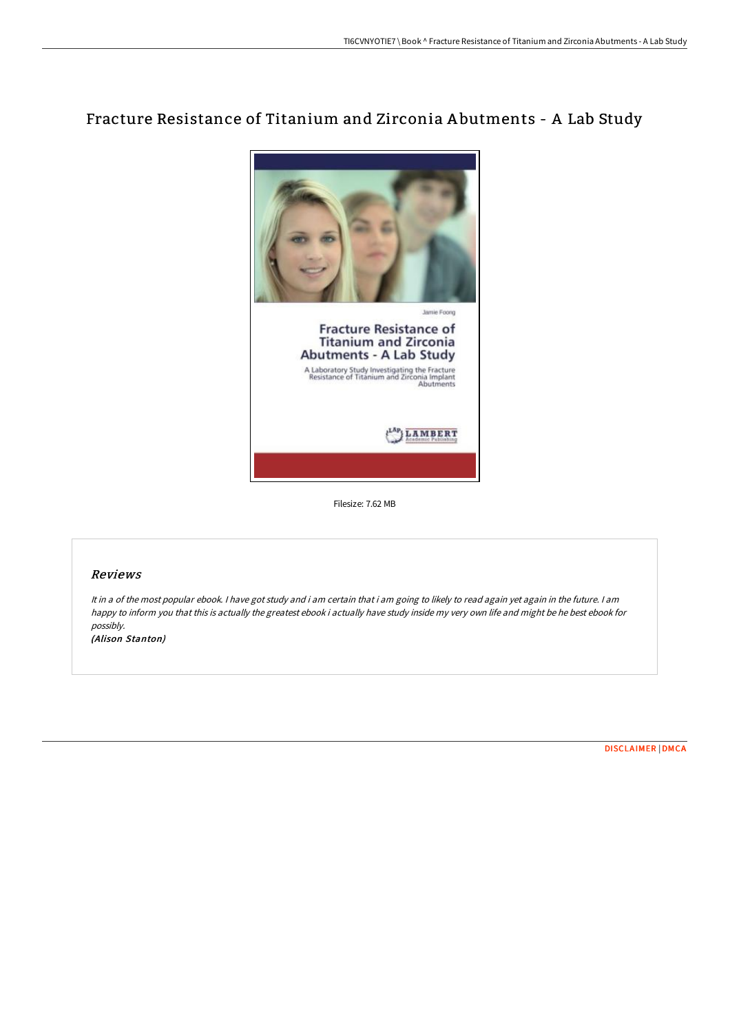## Fracture Resistance of Titanium and Zirconia A butments - A Lab Study



Filesize: 7.62 MB

## Reviews

It in <sup>a</sup> of the most popular ebook. <sup>I</sup> have got study and i am certain that i am going to likely to read again yet again in the future. <sup>I</sup> am happy to inform you that this is actually the greatest ebook i actually have study inside my very own life and might be he best ebook for possibly.

(Alison Stanton)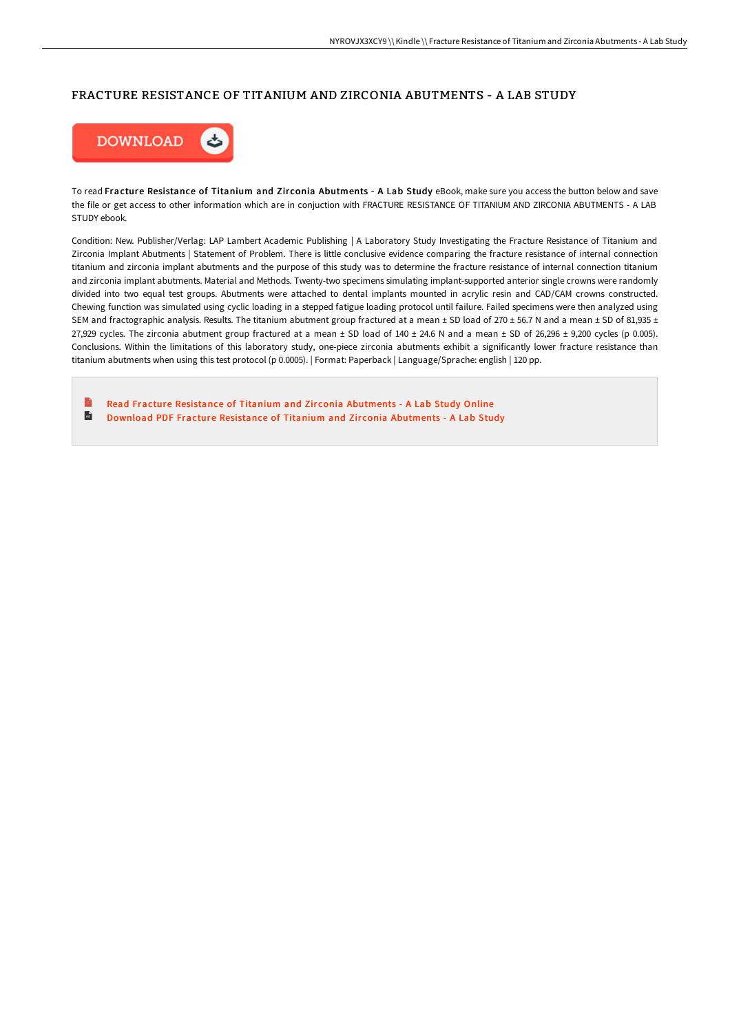## FRACTURE RESISTANCE OF TITANIUM AND ZIRCONIA ABUTMENTS - A LAB STUDY



To read Fracture Resistance of Titanium and Zirconia Abutments - A Lab Study eBook, make sure you access the button below and save the file or get access to other information which are in conjuction with FRACTURE RESISTANCE OF TITANIUM AND ZIRCONIA ABUTMENTS - A LAB STUDY ebook.

Condition: New. Publisher/Verlag: LAP Lambert Academic Publishing | A Laboratory Study Investigating the Fracture Resistance of Titanium and Zirconia Implant Abutments | Statement of Problem. There is little conclusive evidence comparing the fracture resistance of internal connection titanium and zirconia implant abutments and the purpose of this study was to determine the fracture resistance of internal connection titanium and zirconia implant abutments. Material and Methods. Twenty-two specimens simulating implant-supported anterior single crowns were randomly divided into two equal test groups. Abutments were attached to dental implants mounted in acrylic resin and CAD/CAM crowns constructed. Chewing function was simulated using cyclic loading in a stepped fatigue loading protocol until failure. Failed specimens were then analyzed using SEM and fractographic analysis. Results. The titanium abutment group fractured at a mean  $\pm$  SD load of 270  $\pm$  56.7 N and a mean  $\pm$  SD of 81,935  $\pm$ 27,929 cycles. The zirconia abutment group fractured at a mean  $\pm$  SD load of 140  $\pm$  24.6 N and a mean  $\pm$  SD of 26,296  $\pm$  9,200 cycles (p 0.005). Conclusions. Within the limitations of this laboratory study, one-piece zirconia abutments exhibit a significantly lower fracture resistance than titanium abutments when using this test protocol (p 0.0005). | Format: Paperback | Language/Sprache: english | 120 pp.

Read Fracture Resistance of Titanium and Zirconia [Abutments](http://techno-pub.tech/fracture-resistance-of-titanium-and-zirconia-abu.html) - A Lab Study Online  $\overline{\mathbf{m}}$ Download PDF Fracture Resistance of Titanium and Zir conia [Abutments](http://techno-pub.tech/fracture-resistance-of-titanium-and-zirconia-abu.html) - A Lab Study